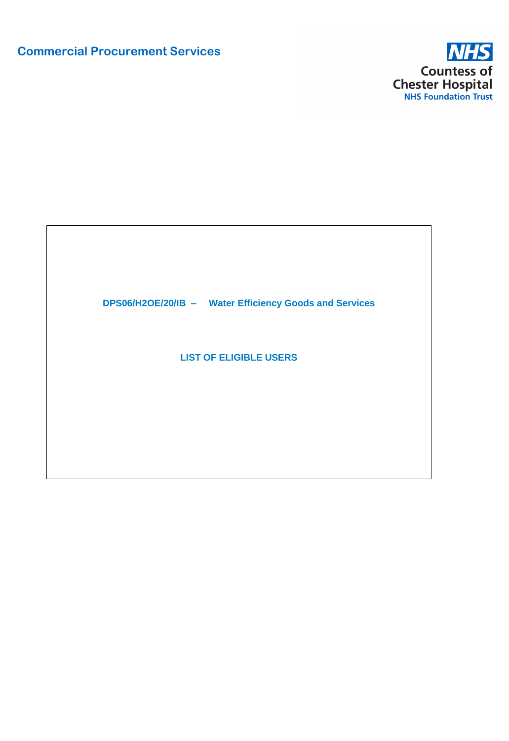# **Commercial Procurement Services**



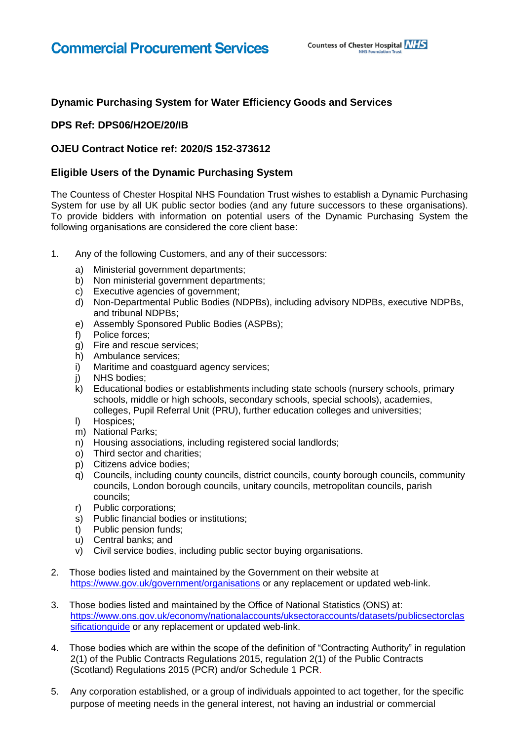## **Dynamic Purchasing System for Water Efficiency Goods and Services**

### **DPS Ref: DPS06/H2OE/20/IB**

#### **OJEU Contract Notice ref: 2020/S 152-373612**

#### **Eligible Users of the Dynamic Purchasing System**

The Countess of Chester Hospital NHS Foundation Trust wishes to establish a Dynamic Purchasing System for use by all UK public sector bodies (and any future successors to these organisations). To provide bidders with information on potential users of the Dynamic Purchasing System the following organisations are considered the core client base:

- 1. Any of the following Customers, and any of their successors:
	- a) Ministerial government departments;
	- b) Non ministerial government departments;
	- c) Executive agencies of government;
	- d) Non-Departmental Public Bodies (NDPBs), including advisory NDPBs, executive NDPBs, and tribunal NDPBs;
	- e) Assembly Sponsored Public Bodies (ASPBs);
	- f) Police forces;
	- g) Fire and rescue services;
	- h) Ambulance services;
	- i) Maritime and coastguard agency services;
	-
	- j) NHS bodies; k) Educational bodies or establishments including state schools (nursery schools, primary schools, middle or high schools, secondary schools, special schools), academies, colleges, Pupil Referral Unit (PRU), further education colleges and universities;
	- l) Hospices;
	- m) National Parks;
	- n) Housing associations, including registered social landlords;
	- o) Third sector and charities;
	- p) Citizens advice bodies;
	- q) Councils, including county councils, district councils, county borough councils, community councils, London borough councils, unitary councils, metropolitan councils, parish councils;
	- r) Public corporations;
	- s) Public financial bodies or institutions;
	- t) Public pension funds;
	- u) Central banks; and
	- v) Civil service bodies, including public sector buying organisations.
- 2. Those bodies listed and maintained by the Government on their website at <https://www.gov.uk/government/organisations> or any replacement or updated web-link.
- 3. Those bodies listed and maintained by the Office of National Statistics (ONS) at: [https://www.ons.gov.uk/economy/nationalaccounts/uksectoraccounts/datasets/publicsectorclas](https://www.ons.gov.uk/economy/nationalaccounts/uksectoraccounts/datasets/publicsectorclassificationguide) [sificationguide](https://www.ons.gov.uk/economy/nationalaccounts/uksectoraccounts/datasets/publicsectorclassificationguide) or any replacement or updated web-link.
- 4. Those bodies which are within the scope of the definition of "Contracting Authority" in regulation 2(1) of the Public Contracts Regulations 2015, regulation 2(1) of the Public Contracts (Scotland) Regulations 2015 (PCR) and/or Schedule 1 PCR.
- 5. Any corporation established, or a group of individuals appointed to act together, for the specific purpose of meeting needs in the general interest, not having an industrial or commercial